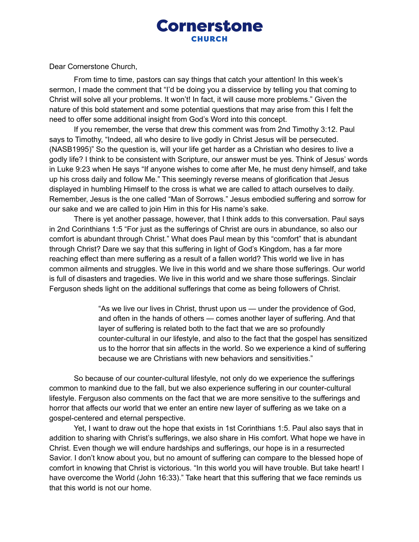## **Cornerstone**

Dear Cornerstone Church,

From time to time, pastors can say things that catch your attention! In this week's sermon, I made the comment that "I'd be doing you a disservice by telling you that coming to Christ will solve all your problems. It won't! In fact, it will cause more problems." Given the nature of this bold statement and some potential questions that may arise from this I felt the need to offer some additional insight from God's Word into this concept.

If you remember, the verse that drew this comment was from 2nd Timothy 3:12. Paul says to Timothy, "Indeed, all who desire to live godly in Christ Jesus will be persecuted. (NASB1995)" So the question is, will your life get harder as a Christian who desires to live a godly life? I think to be consistent with Scripture, our answer must be yes. Think of Jesus' words in Luke 9:23 when He says "If anyone wishes to come after Me, he must deny himself, and take up his cross daily and follow Me." This seemingly reverse means of glorification that Jesus displayed in humbling Himself to the cross is what we are called to attach ourselves to daily. Remember, Jesus is the one called "Man of Sorrows." Jesus embodied suffering and sorrow for our sake and we are called to join Him in this for His name's sake.

There is yet another passage, however, that I think adds to this conversation. Paul says in 2nd Corinthians 1:5 "For just as the sufferings of Christ are ours in abundance, so also our comfort is abundant through Christ." What does Paul mean by this "comfort" that is abundant through Christ? Dare we say that this suffering in light of God's Kingdom, has a far more reaching effect than mere suffering as a result of a fallen world? This world we live in has common ailments and struggles. We live in this world and we share those sufferings. Our world is full of disasters and tragedies. We live in this world and we share those sufferings. Sinclair Ferguson sheds light on the additional sufferings that come as being followers of Christ.

> "As we live our lives in Christ, thrust upon us — under the providence of God, and often in the hands of others — comes another layer of suffering. And that layer of suffering is related both to the fact that we are so profoundly counter-cultural in our lifestyle, and also to the fact that the gospel has sensitized us to the horror that sin affects in the world. So we experience a kind of suffering because we are Christians with new behaviors and sensitivities."

So because of our counter-cultural lifestyle, not only do we experience the sufferings common to mankind due to the fall, but we also experience suffering in our counter-cultural lifestyle. Ferguson also comments on the fact that we are more sensitive to the sufferings and horror that affects our world that we enter an entire new layer of suffering as we take on a gospel-centered and eternal perspective.

Yet, I want to draw out the hope that exists in 1st Corinthians 1:5. Paul also says that in addition to sharing with Christ's sufferings, we also share in His comfort. What hope we have in Christ. Even though we will endure hardships and sufferings, our hope is in a resurrected Savior. I don't know about you, but no amount of suffering can compare to the blessed hope of comfort in knowing that Christ is victorious. "In this world you will have trouble. But take heart! I have overcome the World (John 16:33)." Take heart that this suffering that we face reminds us that this world is not our home.